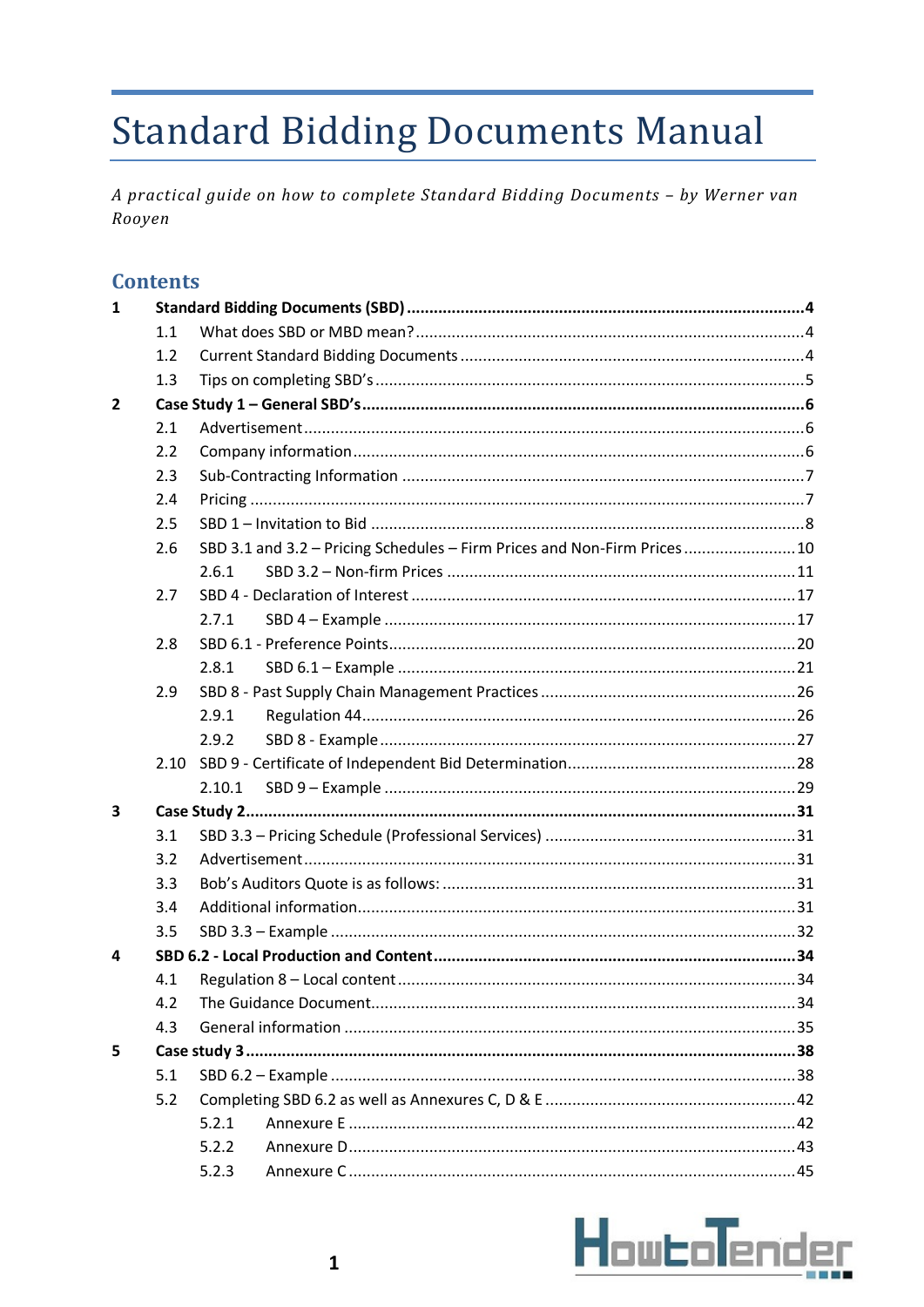# **Standard Bidding Documents Manual**

A practical guide on how to complete Standard Bidding Documents - by Werner van Rooyen

### **Contents**

| $\mathbf{1}$   |     |                                                                           |  |  |  |  |
|----------------|-----|---------------------------------------------------------------------------|--|--|--|--|
|                | 1.1 |                                                                           |  |  |  |  |
|                | 1.2 |                                                                           |  |  |  |  |
|                | 1.3 |                                                                           |  |  |  |  |
| $\overline{2}$ |     |                                                                           |  |  |  |  |
|                | 2.1 |                                                                           |  |  |  |  |
|                | 2.2 |                                                                           |  |  |  |  |
|                | 2.3 |                                                                           |  |  |  |  |
|                | 2.4 |                                                                           |  |  |  |  |
|                | 2.5 |                                                                           |  |  |  |  |
|                | 2.6 | SBD 3.1 and 3.2 - Pricing Schedules - Firm Prices and Non-Firm Prices  10 |  |  |  |  |
|                |     | 2.6.1                                                                     |  |  |  |  |
|                | 2.7 |                                                                           |  |  |  |  |
|                |     | 2.7.1                                                                     |  |  |  |  |
|                | 2.8 |                                                                           |  |  |  |  |
|                |     | 2.8.1                                                                     |  |  |  |  |
|                | 2.9 |                                                                           |  |  |  |  |
|                |     | 2.9.1                                                                     |  |  |  |  |
|                |     | 2.9.2                                                                     |  |  |  |  |
|                |     |                                                                           |  |  |  |  |
|                |     | 2.10.1                                                                    |  |  |  |  |
| 3              |     |                                                                           |  |  |  |  |
|                | 3.1 |                                                                           |  |  |  |  |
|                | 3.2 |                                                                           |  |  |  |  |
|                | 3.3 |                                                                           |  |  |  |  |
|                | 3.4 |                                                                           |  |  |  |  |
|                | 3.5 |                                                                           |  |  |  |  |
| 4              |     |                                                                           |  |  |  |  |
|                | 4.1 |                                                                           |  |  |  |  |
|                | 4.2 |                                                                           |  |  |  |  |
|                | 4.3 |                                                                           |  |  |  |  |
| 5              |     |                                                                           |  |  |  |  |
|                | 5.1 |                                                                           |  |  |  |  |
|                | 5.2 |                                                                           |  |  |  |  |
|                |     | 5.2.1                                                                     |  |  |  |  |
|                |     | 5.2.2                                                                     |  |  |  |  |
|                |     | 5.2.3                                                                     |  |  |  |  |

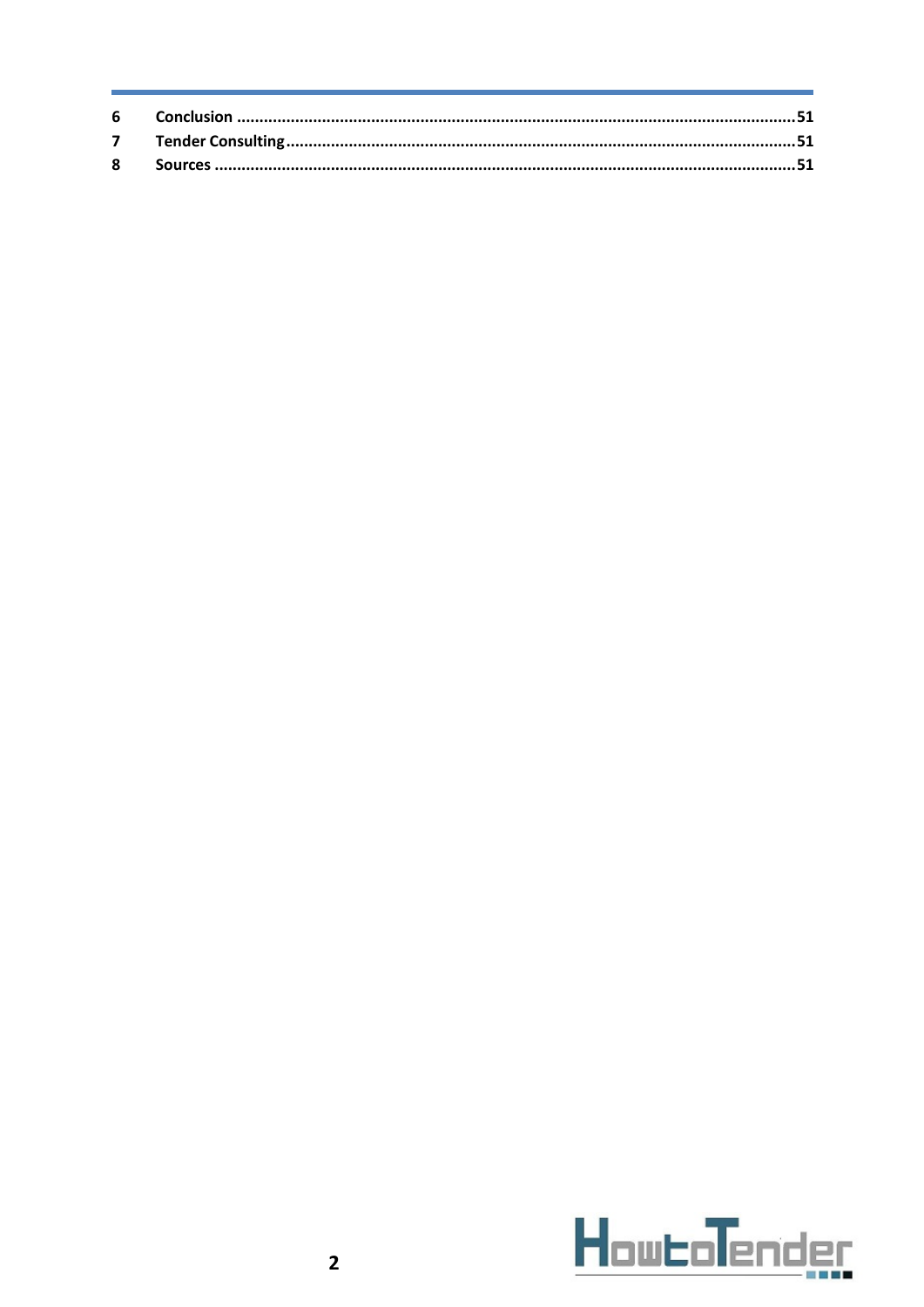